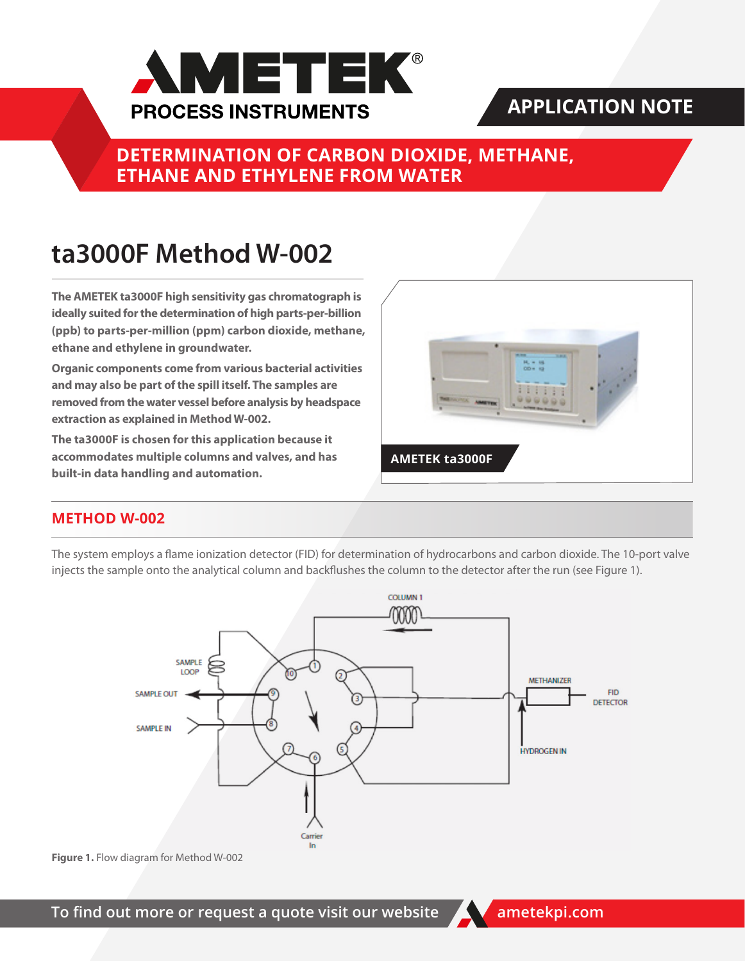

# **APPLICATION NOTE**

**DETERMINATION OF CARBON DIOXIDE, METHANE, ETHANE AND ETHYLENE FROM WATER**

# **ta3000F Method W-002**

**The AMETEK ta3000F high sensitivity gas chromatograph is ideally suited for the determination of high parts-per-billion (ppb) to parts-per-million (ppm) carbon dioxide, methane, ethane and ethylene in groundwater.**

**Organic components come from various bacterial activities and may also be part of the spill itself. The samples are removed from the water vessel before analysis by headspace extraction as explained in Method W-002.**

**The ta3000F is chosen for this application because it accommodates multiple columns and valves, and has built-in data handling and automation.**



## **METHOD W-002**

The system employs a flame ionization detector (FID) for determination of hydrocarbons and carbon dioxide. The 10-port valve injects the sample onto the analytical column and backflushes the column to the detector after the run (see Figure 1).